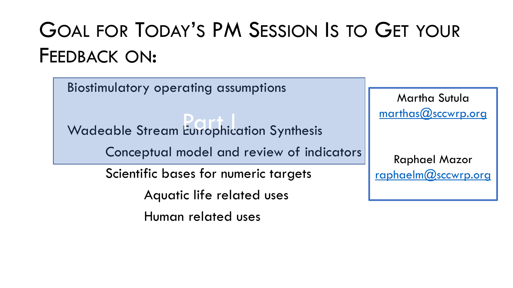# GOAL FOR TODAY'S PM SESSION IS TO GET YOUR FEEDBACK ON:

Biostimulatory operating assumptions

Wadeable Stream Eutrophication Synthesis

Conceptual model and review of indicators

Scientific bases for numeric targets

Aquatic life related uses

Human related uses

Martha Sutula [marthas@sccwrp.org](mailto:marthas@sccwrp.org)

Raphael Mazor [raphaelm@sccwrp.org](mailto:raphaelm@sccwrp.org)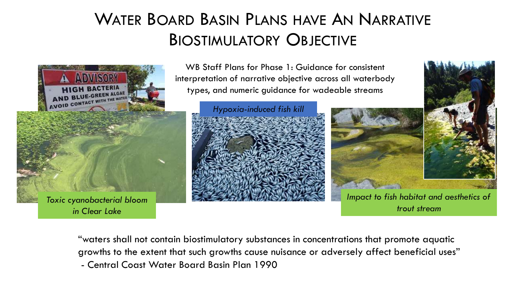### WATER BOARD BASIN PLANS HAVE AN NARRATIVE BIOSTIMULATORY OBJECTIVE



WB Staff Plans for Phase 1: Guidance for consistent interpretation of narrative objective across all waterbody types, and numeric guidance for wadeable streams





*Impact to fish habitat and aesthetics of trout stream*

"waters shall not contain biostimulatory substances in concentrations that promote aquatic growths to the extent that such growths cause nuisance or adversely affect beneficial uses" - Central Coast Water Board Basin Plan 1990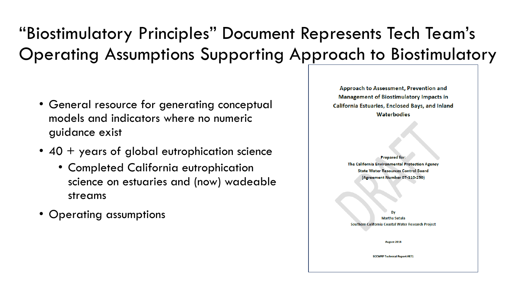### "Biostimulatory Principles" Document Represents Tech Team's Operating Assumptions Supporting Approach to Biostimulatory

- General resource for generating conceptual models and indicators where no numeric guidance exist
- 40 + years of global eutrophication science
	- Completed California eutrophication science on estuaries and (now) wadeable streams
- Operating assumptions

Approach to Assessment, Prevention and **Management of Biostimulatory Impacts in** California Estuaries, Enclosed Bays, and Inland **Waterbodies Prepared for:** The California Environmental Protection Agency **State Water Resources Control Board** (Agreement Number 07-110-250) **Martha Sutula** Southern California Coastal Water Research Project August 2018 **SCCWRP Technical Report #871**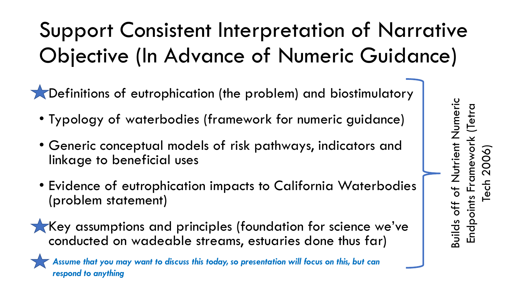# Support Consistent Interpretation of Narrative Objective (In Advance of Numeric Guidance)

• Definitions of eutrophication (the problem) and biostimulatory

- Typology of waterbodies (framework for numeric guidance)
- Generic conceptual models of risk pathways, indicators and linkage to beneficial uses
- Evidence of eutrophication impacts to California Waterbodies (problem statement)
- Key assumptions and principles (foundation for science we've conducted on wadeable streams, estuaries done thus far)

*Assume that you may want to discuss this today, so presentation will focus on this, but can respond to anything*

Builds off of Nutrient Numeric Nutrient Numeric Endpoints Framework (Tetra (Tetra Tech 2006) Builds off of Endpoints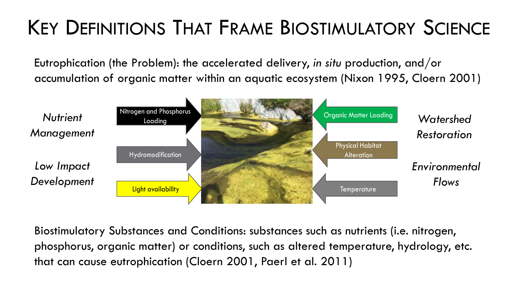# KEY DEFINITIONS THAT FRAME BIOSTIMULATORY SCIENCE

Eutrophication (the Problem): the accelerated delivery, *in situ* production, and/or accumulation of organic matter within an aquatic ecosystem (Nixon 1995, Cloern 2001)



Biostimulatory Substances and Conditions: substances such as nutrients (i.e. nitrogen, phosphorus, organic matter) or conditions, such as altered temperature, hydrology, etc. that can cause eutrophication (Cloern 2001, Paerl et al. 2011)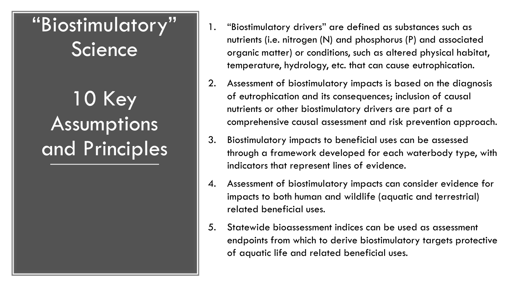## "Biostimulatory" Science

# 10 Key Assumptions and Principles

- 1. "Biostimulatory drivers" are defined as substances such as nutrients (i.e. nitrogen (N) and phosphorus (P) and associated organic matter) or conditions, such as altered physical habitat, temperature, hydrology, etc. that can cause eutrophication.
- 2. Assessment of biostimulatory impacts is based on the diagnosis of eutrophication and its consequences; inclusion of causal nutrients or other biostimulatory drivers are part of a comprehensive causal assessment and risk prevention approach.
- 3. Biostimulatory impacts to beneficial uses can be assessed through a framework developed for each waterbody type, with indicators that represent lines of evidence.
- 4. Assessment of biostimulatory impacts can consider evidence for impacts to both human and wildlife (aquatic and terrestrial) related beneficial uses.
- 5. Statewide bioassessment indices can be used as assessment endpoints from which to derive biostimulatory targets protective of aquatic life and related beneficial uses.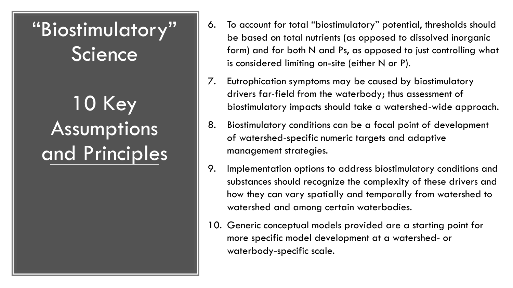## "Biostimulatory" **Science**

10 Key Assumptions and Principles

- 6. To account for total "biostimulatory" potential, thresholds should be based on total nutrients (as opposed to dissolved inorganic form) and for both N and Ps, as opposed to just controlling what is considered limiting on-site (either N or P).
- 7. Eutrophication symptoms may be caused by biostimulatory drivers far-field from the waterbody; thus assessment of biostimulatory impacts should take a watershed-wide approach.
- 8. Biostimulatory conditions can be a focal point of development of watershed-specific numeric targets and adaptive management strategies.
- 9. Implementation options to address biostimulatory conditions and substances should recognize the complexity of these drivers and how they can vary spatially and temporally from watershed to watershed and among certain waterbodies.
- 10. Generic conceptual models provided are a starting point for more specific model development at a watershed- or waterbody-specific scale.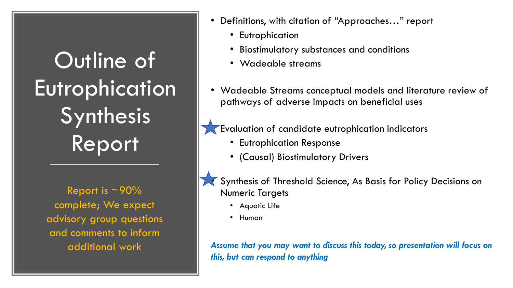Outline of Eutrophication Synthesis Report

Report is  $\sim$ 90% complete; We expect advisory group questions and comments to inform

- Definitions, with citation of "Approaches…" report
	- Eutrophication
	- Biostimulatory substances and conditions
	- Wadeable streams
- Wadeable Streams conceptual models and literature review of pathways of adverse impacts on beneficial uses

**Evaluation of candidate eutrophication indicators** 

- Eutrophication Response
- (Causal) Biostimulatory Drivers

• Synthesis of Threshold Science, As Basis for Policy Decisions on Numeric Targets

- Aquatic Life
- Human

additional work *Assume that you may want to discuss this today, so presentation will focus on this, but can respond to anything*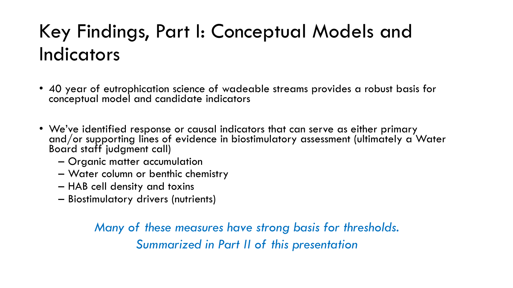## Key Findings, Part I: Conceptual Models and Indicators

- 40 year of eutrophication science of wadeable streams provides a robust basis for conceptual model and candidate indicators
- We've identified response or causal indicators that can serve as either primary and/or supporting lines of evidence in biostimulatory assessment (ultimately a Water Board staff judgment call)
	- Organic matter accumulation
	- Water column or benthic chemistry
	- HAB cell density and toxins
	- Biostimulatory drivers (nutrients)

*Many of these measures have strong basis for thresholds. Summarized in Part II of this presentation*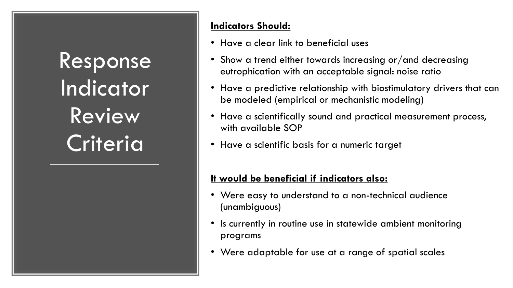Response Indicator Review **Criteria** 

#### **Indicators Should:**

- Have a clear link to beneficial uses
- Show a trend either towards increasing or/and decreasing eutrophication with an acceptable signal: noise ratio
- Have a predictive relationship with biostimulatory drivers that can be modeled (empirical or mechanistic modeling)
- Have a scientifically sound and practical measurement process, with available SOP
- Have a scientific basis for a numeric target

#### **It would be beneficial if indicators also:**

- Were easy to understand to a non-technical audience (unambiguous)
- Is currently in routine use in statewide ambient monitoring programs
- Were adaptable for use at a range of spatial scales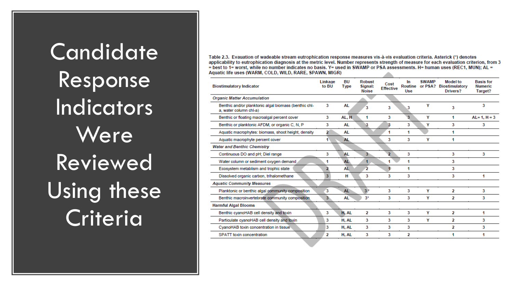**Candidate** Response Indicators **Were** Reviewed Using these **Criteria** 

Table 2.3. Evauation of wadeable stream eutrophication response measures vis-à-vis evaluation criteria. Asterick (\*) denotes applicability to eutrophication diagnosis at the metric level. Number represents strength of measure for each evaluation criterion, from 3 = best to 1= worst, while no number indicates no basis, Y= used in SWAMP or PSA assessments. H= human uses (REC1, MUN); AL = Aquatic life uses (WARM, COLD, WILD, RARE, SPAWN, MIGR)

| <b>Biostimulatory Indicator</b>                                                 | Linkage<br>to BU | BU<br><b>Type</b> | <b>Robust</b><br>Signal:<br><b>Noise</b> | Cost<br><b>Effective</b> | In<br>Use | <b>SWAMP</b> | <b>Model to</b><br>Routine or PSA? Biostimulatory<br>Drivers? | <b>Basis for</b><br><b>Numeric</b><br>Target? |
|---------------------------------------------------------------------------------|------------------|-------------------|------------------------------------------|--------------------------|-----------|--------------|---------------------------------------------------------------|-----------------------------------------------|
| <b>Organic Matter Accumulation</b>                                              |                  |                   |                                          |                          |           |              |                                                               |                                               |
| Benthic and/or planktonic algal biomass (benthic chl-<br>a, water column chl-a) | 3                | AL                | 3                                        | 3                        | 3         | Υ            | 3                                                             | 3                                             |
| Benthic or floating macroalgal percent cover                                    | 3                | AL, H             | 1                                        | 3                        | 3         | Y            | 1.                                                            | $AL = 1. H = 3$                               |
| Benthic or planktonic AFDM, or organic C, N, P                                  | 3                | AL                | 3                                        | 3                        | 3         | Y            | 3                                                             | 3                                             |
| Aquatic macrophytes: biomass, shoot height, density                             | 2                | AL                |                                          | 1                        | 1         |              | 1                                                             |                                               |
| Aquatic macrophyte percent cover                                                | 1                | AL.               |                                          | 3                        | 3         | Y            | 1                                                             |                                               |
| <b>Water and Benthic Chemistry</b>                                              |                  |                   |                                          |                          |           |              |                                                               |                                               |
| Continuous DO and pH; Diel range                                                | 3                | AL                | $3 -$                                    | $\overline{ }$           | 3         |              | 3                                                             | 3                                             |
| Water column or sediment oxygen demand                                          | 1                | <b>AL</b>         | 1                                        | 1                        | 1         |              | 3                                                             |                                               |
| Ecosystem metablism and trophic state                                           | 2                | AL                | $\overline{2}$                           | 4                        | 4         |              | 3                                                             |                                               |
| Dissolved organic carbon, trihalomethane                                        | 3                | н                 | 3                                        | 3                        | 3         |              | 3                                                             | 1                                             |
| <b>Aquatic Community Measures</b>                                               |                  |                   |                                          |                          |           |              |                                                               |                                               |
| Planktonic or benthic algal community composition                               | 3                | <b>AL</b>         | $3*$                                     | 3                        | 3         | Υ            | 2                                                             | 3                                             |
| Benthic macroinvertebrate community composition.                                | 3 <sup>5</sup>   | AL <sup>1</sup>   | $3*$                                     | 3                        | 3         | Υ            | 2                                                             | 3                                             |
| <b>Harmful Algal Blooms</b>                                                     |                  |                   |                                          |                          |           |              |                                                               |                                               |
| Benthic cyanoHAB cell density and toxin                                         | 3                | H. AL             | 2                                        | 3                        | 3         | Y            | 2                                                             | 1                                             |
| Particulate cyanoHAB cell density and toxin                                     | 3                | H. AL             | 3                                        | 3                        | 3         | Y            | 2                                                             | 3                                             |
| CyanoHAB toxin concentration in tissue                                          | 3                | H. AL             | 3                                        | 3                        | 3         |              | 2                                                             | 3                                             |
| SPATT toxin concentration                                                       | 2                | H. AL             | 3                                        | 3                        | 2         |              |                                                               | 1                                             |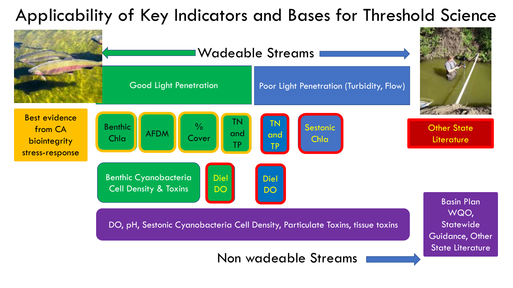### Applicability of Key Indicators and Bases for Threshold Science

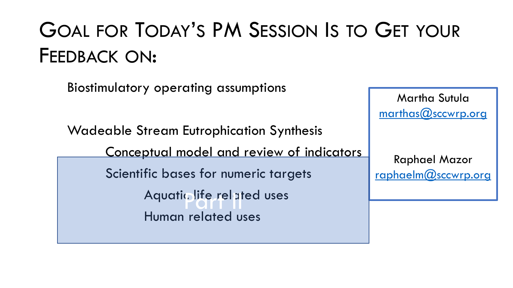# GOAL FOR TODAY'S PM SESSION IS TO GET YOUR FEEDBACK ON:

Biostimulatory operating assumptions

Wadeable Stream Eutrophication Synthesis

Conceptual model and review of indicators

Scientific bases for numeric targets Aquatic life related uses

Human related uses

Martha Sutula [marthas@sccwrp.org](mailto:marthas@sccwrp.org)

Raphael Mazor [raphaelm@sccwrp.org](mailto:raphaelm@sccwrp.org)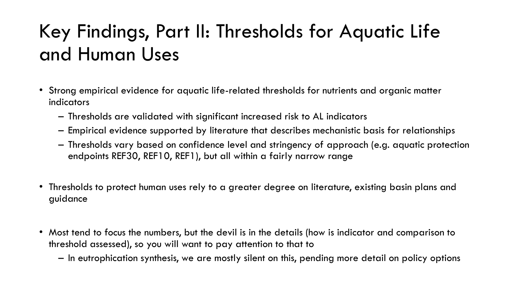## Key Findings, Part II: Thresholds for Aquatic Life and Human Uses

- Strong empirical evidence for aquatic life-related thresholds for nutrients and organic matter indicators
	- Thresholds are validated with significant increased risk to AL indicators
	- Empirical evidence supported by literature that describes mechanistic basis for relationships
	- Thresholds vary based on confidence level and stringency of approach (e.g. aquatic protection endpoints REF30, REF10, REF1), but all within a fairly narrow range
- Thresholds to protect human uses rely to a greater degree on literature, existing basin plans and guidance
- Most tend to focus the numbers, but the devil is in the details (how is indicator and comparison to threshold assessed), so you will want to pay attention to that to
	- In eutrophication synthesis, we are mostly silent on this, pending more detail on policy options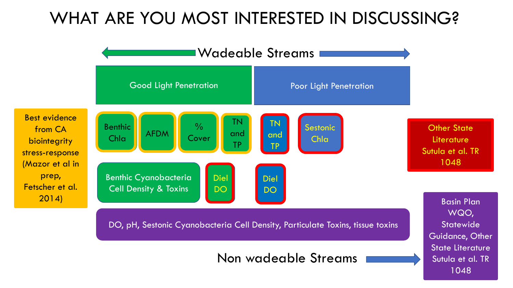### WHAT ARE YOU MOST INTERESTED IN DISCUSSING?

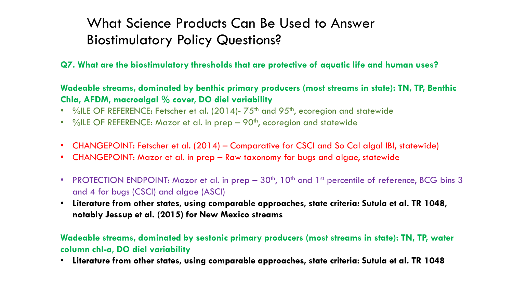### What Science Products Can Be Used to Answer Biostimulatory Policy Questions?

**Q7. What are the biostimulatory thresholds that are protective of aquatic life and human uses?**

**Wadeable streams, dominated by benthic primary producers (most streams in state): TN, TP, Benthic Chla, AFDM, macroalgal % cover, DO diel variability**

- %ILE OF REFERENCE: Fetscher et al. (2014)-75<sup>th</sup> and 95<sup>th</sup>, ecoregion and statewide
- %ILE OF REFERENCE: Mazor et al. in prep 90<sup>th</sup>, ecoregion and statewide
- CHANGEPOINT: Fetscher et al. (2014) Comparative for CSCI and So Cal algal IBI, statewide)
- CHANGEPOINT: Mazor et al. in prep Raw taxonomy for bugs and algae, statewide
- PROTECTION ENDPOINT: Mazor et al. in prep 30<sup>th</sup>, 10<sup>th</sup> and 1<sup>st</sup> percentile of reference, BCG bins 3 and 4 for bugs (CSCI) and algae (ASCI)
- **Literature from other states, using comparable approaches, state criteria: Sutula et al. TR 1048, notably Jessup et al. (2015) for New Mexico streams**

**Wadeable streams, dominated by sestonic primary producers (most streams in state): TN, TP, water column chl-a, DO diel variability**

• **Literature from other states, using comparable approaches, state criteria: Sutula et al. TR 1048**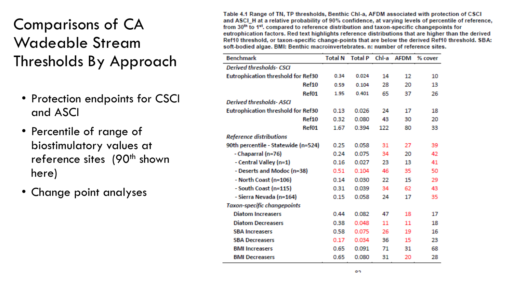### Comparisons of CA Wadeable Stream Thresholds By Approach

- Protection endpoints for CSCI and ASCI
- Percentile of range of biostimulatory values at reference sites (90<sup>th</sup> shown here)
- Change point analyses

Table 4.1 Range of TN, TP thresholds, Benthic Chl-a, AFDM associated with protection of CSCI and ASCI H at a relative probability of 90% confidence, at varying levels of percentile of reference, from 30<sup>th</sup> to 1<sup>et</sup>, compared to reference distribution and taxon-specific changepoints for eutrophication factors. Red text highlights reference distributions that are higher than the derived Ref10 threshold, or taxon-specific change-points that are below the derived Ref10 threshold, SBA: soft-bodied algae. BMI: Benthic macroinvertebrates, n: number of reference sites.

| <b>Benchmark</b>                          | <b>Total N</b> | <b>Total P</b> | Chl-a | <b>AFDM</b> | % cover |
|-------------------------------------------|----------------|----------------|-------|-------------|---------|
| Derived thresholds- CSCI                  |                |                |       |             |         |
| <b>Eutrophication threshold for Ref30</b> | 0.34           | 0.024          | 14    | 12          | 10      |
| Ref10                                     | 0.59           | 0.104          | 28    | 20          | 13      |
| Ref01                                     | 1.95           | 0.401          | 65    | 37          | 26      |
| <b>Derived thresholds- ASCI</b>           |                |                |       |             |         |
| <b>Eutrophication threshold for Ref30</b> | 0.13           | 0.026          | 24    | 17          | 18      |
| Ref10                                     | 0.32           | 0.080          | 43    | 30          | 20      |
| Ref01                                     | 1.67           | 0.394          | 122   | 80          | 33      |
| <b>Reference distributions</b>            |                |                |       |             |         |
| 90th percentile - Statewide (n=524)       | 0.25           | 0.058          | 31    | 27          | 39      |
| - Chaparral (n=76)                        | 0.24           | 0.075          | 34    | 20          | 42      |
| - Central Valley (n=1)                    | 0.16           | 0.027          | 23    | 13          | 41      |
| - Deserts and Modoc (n=38)                | 0.51           | 0.104          | 46    | 35          | 50      |
| - North Coast (n=106)                     | 0.14           | 0.030          | 22    | 15          | 29      |
| - South Coast (n=115)                     | 0.31           | 0.039          | 34    | 62          | 43      |
| - Sierra Nevada (n=164)                   | 0.15           | 0.058          | 24    | 17          | 35      |
| Taxon-specific changepoints               |                |                |       |             |         |
| <b>Diatom Increasers</b>                  | 0.44           | 0.082          | 47    | 18          | 17      |
| <b>Diatom Decreasers</b>                  | 0.38           | 0.048          | 11    | 11          | 18      |
| <b>SBA Increasers</b>                     | 0.58           | 0.075          | 26    | 19          | 16      |
| <b>SBA Decreasers</b>                     | 0.17           | 0.034          | 36    | 15          | 23      |
| <b>BMI Increasers</b>                     | 0.65           | 0.091          | 71    | 31          | 68      |
| <b>BMI Decreasers</b>                     | 0.65           | 0.080          | 31    | 20          | 28      |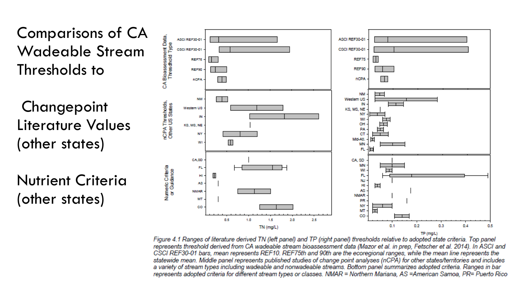

**Changepoint** Literature Values (other states)

Nutrient Criteria (other states)



Figure 4.1 Ranges of literature derived TN (left panel) and TP (right panel) thresholds relative to adopted state criteria. Top panel represents threshold derived from CA wadeable stream bioassessment data (Mazor et al. in prep, Fetscher et al. 2014). In ASCI and CSCI REF30-01 bars, mean represents REF10. REF75th and 90th are the ecoregional ranges, while the mean line represents the statewide mean. Middle panel represents published studies of change point analyses (nCPA) for other states/territories and includes a variety of stream types including wadeable and nonwadeable streams. Bottom panel summarizes adopted criteria. Ranges in bar represents adopted criteria for different stream types or classes. NMAR = Northern Mariana, AS =American Samoa, PR= Puerto Rico

TP (mg/L)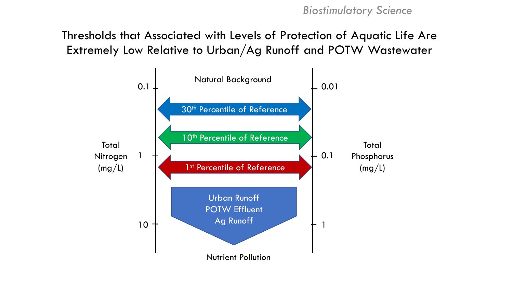Thresholds that Associated with Levels of Protection of Aquatic Life Are Extremely Low Relative to Urban/Ag Runoff and POTW Wastewater

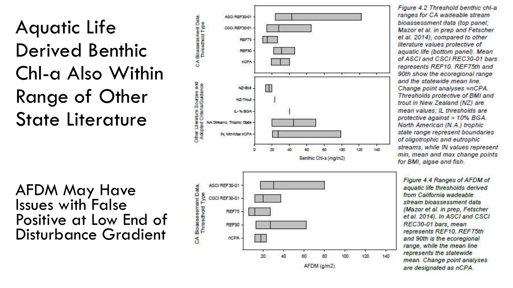## Aquatic Life Derived Benthic Chl-a Also Within Range of Other State Literature

AFDM May Have Issues with False Positive at Low End of Disturbance Gradient



Figure 4.2 Threshold benthic chl-a ranges for CA wadeable stream bioassessment data (top panel: Mazor et al. in prep and Fetscher et al. 2014), compared to other literature values protective of aquatic life (bottom panel). Mean of ASCI and CSCI REC30-01 bars represents REF10. REF75th and 90th show the ecoregional range and the statewide mean line. Change point analyses =nCPA. Thresholds protective of BMI and trout in New Zealand (NZ) are mean values; IL thresholds are protective against > 10% BGA. North American (N.A.) trophic state range represent boundaries of oligotrophic and eutrophic streams, while IN values represent min, mean and max change points for BMI, algae and fish.

Figure 4.4 Ranges of AFDM of aquatic life thresholds derived from California wadeable stream bioassessment data (Mazor et al. in prep, Fetscher et al. 2014). In ASCI and CSCI REC30-01 bars, mean represents REF10. REF75th and 90th is the ecoregional range, while the mean line represents the statewide mean. Change point analyses are designated as nCPA.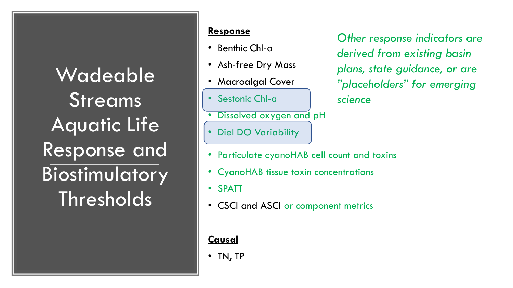Wadeable Streams Aquatic Life Response and Biostimulatory **Thresholds** 

#### **Response**

- Benthic Chl-a
- Ash-free Dry Mass
- Macroalgal Cover
- Sestonic Chl-a
- Dissolved oxygen and pH
- Diel DO Variability

*Other response indicators are derived from existing basin plans, state guidance, or are "placeholders" for emerging science* 

- Particulate cyanoHAB cell count and toxins
- CyanoHAB tissue toxin concentrations
- SPATT
- CSCI and ASCI or component metrics

#### **Causal**

• TN, TP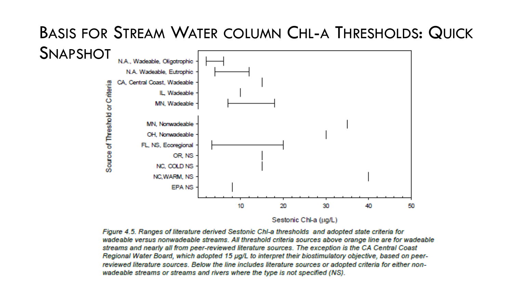#### BASIS FOR STREAM WATER COLUMN CHL-A THRESHOLDS: QUICK **SNAPSHOT** N.A., Wadeable, Oliootrophic



Figure 4.5. Ranges of literature derived Sestonic Chl-a thresholds and adopted state criteria for wadeable versus nonwadeable streams. All threshold criteria sources above orange line are for wadeable streams and nearly all from peer-reviewed literature sources. The exception is the CA Central Coast Regional Water Board, which adopted 15 µg/L to interpret their biostimulatory objective, based on peerreviewed literature sources. Below the line includes literature sources or adopted criteria for either nonwadeable streams or streams and rivers where the type is not specified (NS).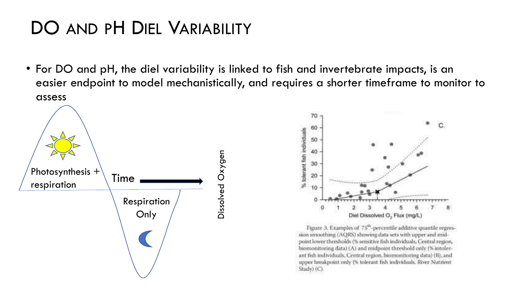### DO AND PH DIEL VARIABILITY

• For DO and pH, the diel variability is linked to fish and invertebrate impacts, is an easier endpoint to model mechanistically, and requires a shorter timeframe to monitor to assess





Figure 3. Examples of 75<sup>th</sup>-percentile additive quantile regression smoothing (AQRS) showing data sets with upper and midpoint lower thresholds (% sensitive fish individuals, Central region, biomonitoring data) (A) and midpoint threshold only (% intolerant fish individuals. Central region, biomonitoring data) (B), and upper breakpoint only (% tolerant fish individuals. River Nutrient Study) (C)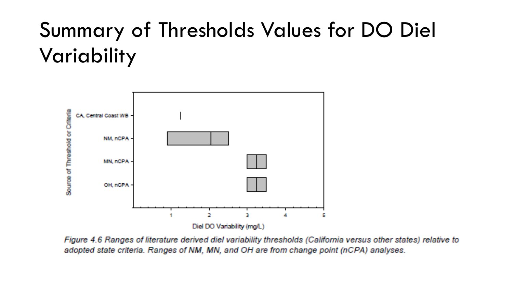# Summary of Thresholds Values for DO Diel Variability



Figure 4.6 Ranges of literature derived diel variability thresholds (California versus other states) relative to adopted state criteria. Ranges of NM, MN, and OH are from change point (nCPA) analyses.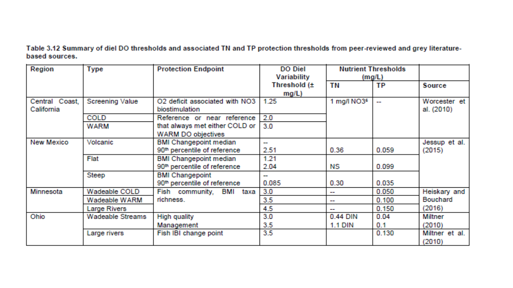Table 3.12 Summary of diel DO thresholds and associated TN and TP protection thresholds from peer-reviewed and grey literaturebased sources.

| Region                       | Type                   | <b>Protection Endpoint</b>                              | <b>DO</b> Diel<br>Variability |                         | <b>Nutrient Thresholds</b><br>(mg/L) |                            |  |
|------------------------------|------------------------|---------------------------------------------------------|-------------------------------|-------------------------|--------------------------------------|----------------------------|--|
|                              |                        |                                                         | Threshold (±<br>$mg/L$ )      | TN                      | TP                                   | <b>Source</b>              |  |
| Central Coast,<br>California | <b>Screening Value</b> | O2 deficit associated with NO3<br><b>biostimulation</b> | 1.25                          | 1 mg/l NO3 <sup>6</sup> |                                      | Worcester et<br>al. (2010) |  |
|                              | <b>COLD</b>            | Reference or near reference                             | 2.0                           |                         |                                      |                            |  |
|                              | <b>WARM</b>            | that always met either COLD or                          | 3.0                           |                         |                                      |                            |  |
|                              |                        | <b>WARM DO objectives</b>                               |                               |                         |                                      |                            |  |
| New Mexico                   | Volcanic               | <b>BMI Changepoint median</b>                           | man.                          |                         |                                      | Jessup et al.              |  |
|                              |                        | 90 <sup>th</sup> percentile of reference                | 2.51                          | 0.36                    | 0.059                                | (2015)                     |  |
|                              | Flat                   | <b>BMI Changepoint median</b>                           | 1.21                          |                         |                                      |                            |  |
|                              |                        | 90 <sup>th</sup> percentile of reference                | 2.04                          | NS.                     | 0.099                                |                            |  |
|                              | Steep                  | <b>BMI Changepoint</b>                                  | أراحهما                       |                         |                                      |                            |  |
|                              |                        | 90 <sup>th</sup> percentile of reference                | 0.085                         | 0.30                    | 0.035                                |                            |  |
| Minnesota                    | Wadeable COLD          | Fish community, BMI<br>taxa                             | 3.0                           | an an                   | 0.050                                | Heiskary and               |  |
|                              | Wadeable WARM          | richness.                                               | 3.5 <sub>2</sub>              | <b>COLOR</b>            | 0.100                                | <b>Bouchard</b>            |  |
|                              | <b>Large Rivers</b>    |                                                         | 4.5                           |                         | 0.150                                | (2016)                     |  |
| Ohio                         | Wadeable Streams       | <b>High quality</b>                                     | 3.0                           | 0.44 DIN                | 0.04                                 | <b>Miltner</b>             |  |
|                              |                        | Management                                              | 3.5                           | <b>1.1 DIN</b>          | 0.1                                  | (2010)                     |  |
|                              | Large rivers           | Fish IBI change point                                   | 3.5 <sub>2</sub>              |                         | 0.130                                | Miltner et al.<br>(2010)   |  |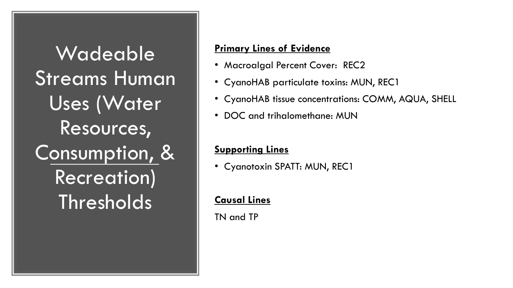**Wadeable** Streams Human Uses (Water Resources, Consumption, & Recreation) **Thresholds** 

#### **Primary Lines of Evidence**

- Macroalgal Percent Cover: REC2
- CyanoHAB particulate toxins: MUN, REC1
- CyanoHAB tissue concentrations: COMM, AQUA, SHELL
- DOC and trihalomethane: MUN

#### **Supporting Lines**

• Cyanotoxin SPATT: MUN, REC1

#### **Causal Lines**

TN and TP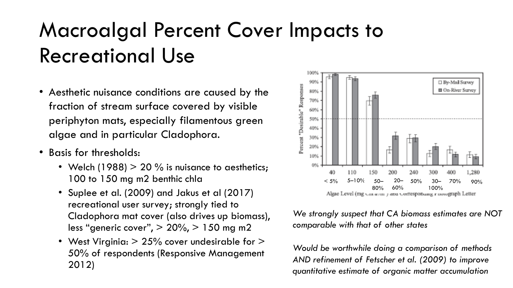# Macroalgal Percent Cover Impacts to Recreational Use

- Aesthetic nuisance conditions are caused by the fraction of stream surface covered by visible periphyton mats, especially filamentous green algae and in particular Cladophora.
- Basis for thresholds:
	- Welch (1988)  $> 20$  % is nuisance to aesthetics; 100 to 150 mg m2 benthic chla
	- Suplee et al. (2009) and Jakus et al (2017) recreational user survey; strongly tied to Cladophora mat cover (also drives up biomass), less "generic cover",  $> 20\%$ ,  $> 150$  mg m2
	- West Virginia:  $> 25\%$  cover undesirable for  $>$ 50% of respondents (Responsive Management 2012)



*We strongly suspect that CA biomass estimates are NOT comparable with that of other states*

*Would be worthwhile doing a comparison of methods AND refinement of Fetscher et al. (2009) to improve quantitative estimate of organic matter accumulation*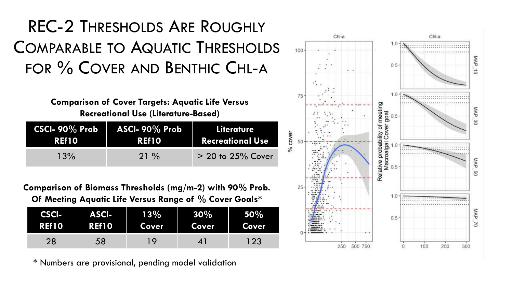### REC-2 THRESHOLDS ARE ROUGHLY COMPARABLE TO AQUATIC THRESHOLDS FOR % COVER AND BENTHIC CHL-A

**Comparison of Cover Targets: Aquatic Life Versus Recreational Use (Literature-Based)**

| $CSCI-90\%$ Prob | ASCI- $90\%$ Prob | Literature              |
|------------------|-------------------|-------------------------|
| <b>REf10</b>     | <b>REf10</b>      | <b>Recreational Use</b> |
| 13%              | $21\%$            | $> 20$ to 25% Cover     |

**Comparison of Biomass Thresholds (mg/m-2) with 90% Prob. Of Meeting Aquatic Life Versus Range of % Cover Goals\*** 

| CSCI-        | <b>ASCI-</b> | 13%   | $30\%$       | 50%          |
|--------------|--------------|-------|--------------|--------------|
| <b>REf10</b> | REf10        | Cover | <b>Cover</b> | <b>Cover</b> |
| 28           | 58           | Q     |              | 123          |

\* Numbers are provisional, pending model validation

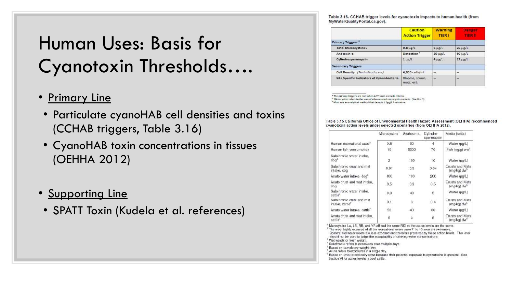### Human Uses: Basis for Cyanotoxin Thresholds….

- Primary Line
	- Particulate cyanoHAB cell densities and toxins (CCHAB triggers, Table 3.16)
	- CyanoHAB toxin concentrations in tissues (OEHHA 2012)
- Supporting Line
- SPATT Toxin (Kudela et al. references)

Table 3.16. CCHAB trigger levels for cyanotoxin impacts to human health (from MyWaterQualityPortal.ca.gov).

|                                           | <b>Caution</b><br><b>Action Trigger</b> | <b>Warning</b><br><b>TIER I</b> | <b>Danger</b><br>TIER II |
|-------------------------------------------|-----------------------------------------|---------------------------------|--------------------------|
| Primary Triggers"                         |                                         |                                 |                          |
| <b>Total Microcystins &amp;</b>           | $0.8 \mu g/L$                           | $6 \mu g/L$                     | $20 \mu g/L$             |
| Anatoxin-a                                | <b>Detection</b>                        | 20 ug/L                         | $90 \mu g/L$             |
| Cylindrospermopsin                        | $1 \mu$ g/L                             | $4 \mu g/L$                     | $17 + 18/1$              |
| <b>Secondary Triggers</b>                 |                                         |                                 |                          |
| Cell Density (Toxin Producers)            | 4,000 cells/mL                          | -                               | --                       |
| Site Specific Indicators of Cyanobacteria | Blooms, scums,<br>mats, ect.            | $\frac{1}{2}$                   | $\overline{\phantom{a}}$ |

<sup>8</sup> The primary triggers are met when ANY toxin exceeds criteria.

<sup>8</sup> Microcystins refers to the sum of all measured microcystin variants. (See Box 3) <sup>e</sup> Must use an analytical method that detects < 1pg/L Anatoxin-a.

Table 3.15 California Office of Environmental Health Hazard Assessment (OEHHA) recommended cyanotoxin action levels under selected scenarios (from OEHHA 2012).

|                                              | Microcystins <sup>1</sup> | Anatoxin-a | Cylindro-<br>spermopsin | Media (units)                                     |
|----------------------------------------------|---------------------------|------------|-------------------------|---------------------------------------------------|
| Human recreational uses <sup>2</sup>         | 0.8                       | 90         | А                       | Water (µg/L)                                      |
| Human fish consumption                       | 10                        | 5000       | 70                      | Fish (ng/g) ww <sup>*</sup>                       |
| Subchronic water intake,<br>dog <sup>4</sup> | $\overline{2}$            | 100        | 10 <sup>1</sup>         | Water (µg/L)                                      |
| Subchronic crust and mat<br>intake, dog      | 0.01                      | 0.3        | 0.04                    | Crusts and Mats<br>mg/kg) dw <sup>3</sup>         |
| Acute water intake, dog <sup>®</sup>         | 100                       | 100        | 200                     | Water (µg/L)                                      |
| Acute crust and mat intake.<br>dog           | 0.5                       | 0.3        | 0.5                     | Crusts and Mats<br>(mg/kg) dw?                    |
| Subchronic water intake,<br>cattle'          | 0.9                       | 40         | 6                       | Water (µg/L)                                      |
| Subchronic crust and mat<br>intake, cattle"  | 0.1                       | 3          | 0.4                     | <b>Crusts and Mats</b><br>(mg/kg) dw <sup>o</sup> |
| Acute water intake, cattle <sup>7</sup>      | 50                        | 40         | 60                      | Water (µg/L)                                      |
| Acute crust and mat intake,<br>cattle'       | 5                         | 3          | $\overline{5}$          | Crusts and Mats<br>(mg/kg) dw"                    |

Mcrocystins LA, LR, RR, and YR all had the same RID so the action levels are the same.

\* The most highly exposed of all the recreational users were 7-to-10-year-old swimmers. Boaters and water skiers are less exposed and therefore protected by these action levels. This level

should not be used to judge the acceptability of drinking water concentrations.

Wet weight or fresh weight.

<sup>4</sup> Subchronic refers to exposures over multiple days.

<sup>3</sup> Based on sample dry weight (dw)

<sup>8</sup> Acute refers to exposures in a single day.

Based on small breed dairy cows because their potential exposure to cyanotoxins is greatest. See Section VI for action levels in beef cattle.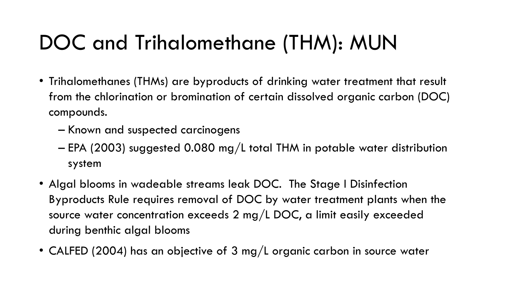# DOC and Trihalomethane (THM): MUN

- Trihalomethanes (THMs) are byproducts of drinking water treatment that result from the chlorination or bromination of certain dissolved organic carbon (DOC) compounds.
	- Known and suspected carcinogens
	- EPA (2003) suggested 0.080 mg/L total THM in potable water distribution system
- Algal blooms in wadeable streams leak DOC. The Stage I Disinfection Byproducts Rule requires removal of DOC by water treatment plants when the source water concentration exceeds 2 mg/L DOC, a limit easily exceeded during benthic algal blooms
- CALFED (2004) has an objective of 3 mg/L organic carbon in source water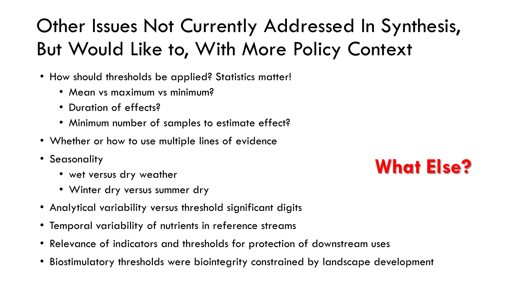## Other Issues Not Currently Addressed In Synthesis, But Would Like to, With More Policy Context

- How should thresholds be applied? Statistics matter!
	- Mean vs maximum vs minimum?
	- Duration of effects?
	- Minimum number of samples to estimate effect?
- Whether or how to use multiple lines of evidence
- Seasonality
	- wet versus dry weather
	- Winter dry versus summer dry
- Analytical variability versus threshold significant digits
- Temporal variability of nutrients in reference streams
- Relevance of indicators and thresholds for protection of downstream uses
- Biostimulatory thresholds were biointegrity constrained by landscape development